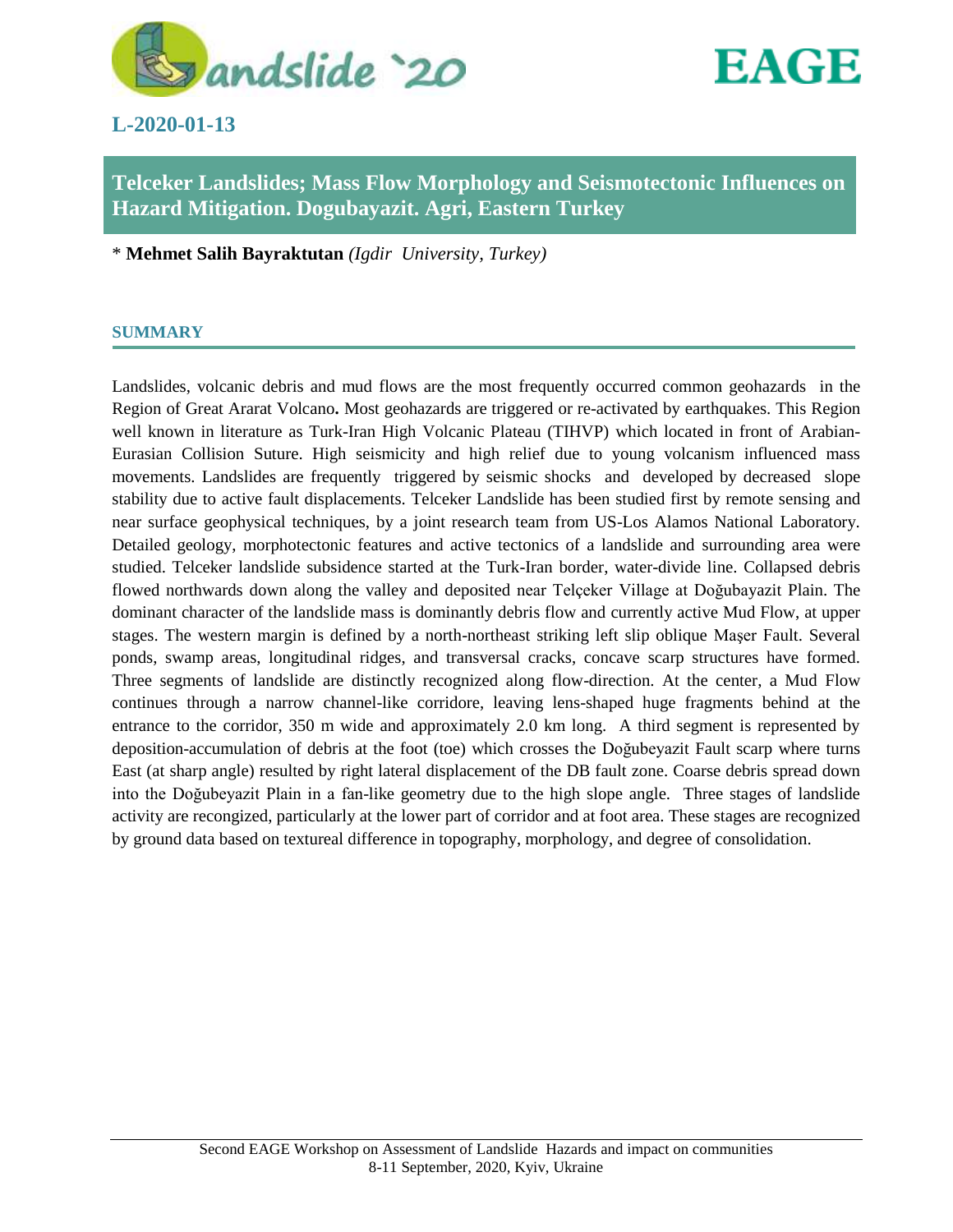

# **L-2020-01-13**



**Telceker Landslides; Mass Flow Morphology and Seismotectonic Influences on Hazard Mitigation. Dogubayazit. Agri, Eastern Turkey**

\* **Mehmet Salih Bayraktutan** *(Igdir University, Turkey)*

## **SUMMARY**

Landslides, volcanic debris and mud flows are the most frequently occurred common geohazards in the Region of Great Ararat Volcano**.** Most geohazards are triggered or re-activated by earthquakes. This Region well known in literature as Turk-Iran High Volcanic Plateau (TIHVP) which located in front of Arabian-Eurasian Collision Suture. High seismicity and high relief due to young volcanism influenced mass movements. Landslides are frequently triggered by seismic shocks and developed by decreased slope stability due to active fault displacements. Telceker Landslide has been studied first by remote sensing and near surface geophysical techniques, by a joint research team from US-Los Alamos National Laboratory. Detailed geology, morphotectonic features and active tectonics of a landslide and surrounding area were studied. Telceker landslide subsidence started at the Turk-Iran border, water-divide line. Collapsed debris flowed northwards down along the valley and deposited near Telçeker Village at Doğubayazit Plain. The dominant character of the landslide mass is dominantly debris flow and currently active Mud Flow, at upper stages. The western margin is defined by a north-northeast striking left slip oblique Maşer Fault. Several ponds, swamp areas, longitudinal ridges, and transversal cracks, concave scarp structures have formed. Three segments of landslide are distinctly recognized along flow-direction. At the center, a Mud Flow continues through a narrow channel-like corridore, leaving lens-shaped huge fragments behind at the entrance to the corridor, 350 m wide and approximately 2.0 km long. A third segment is represented by deposition-accumulation of debris at the foot (toe) which crosses the Doğubeyazit Fault scarp where turns East (at sharp angle) resulted by right lateral displacement of the DB fault zone. Coarse debris spread down into the Doğubeyazit Plain in a fan-like geometry due to the high slope angle. Three stages of landslide activity are recongized, particularly at the lower part of corridor and at foot area. These stages are recognized by ground data based on textureal difference in topography, morphology, and degree of consolidation.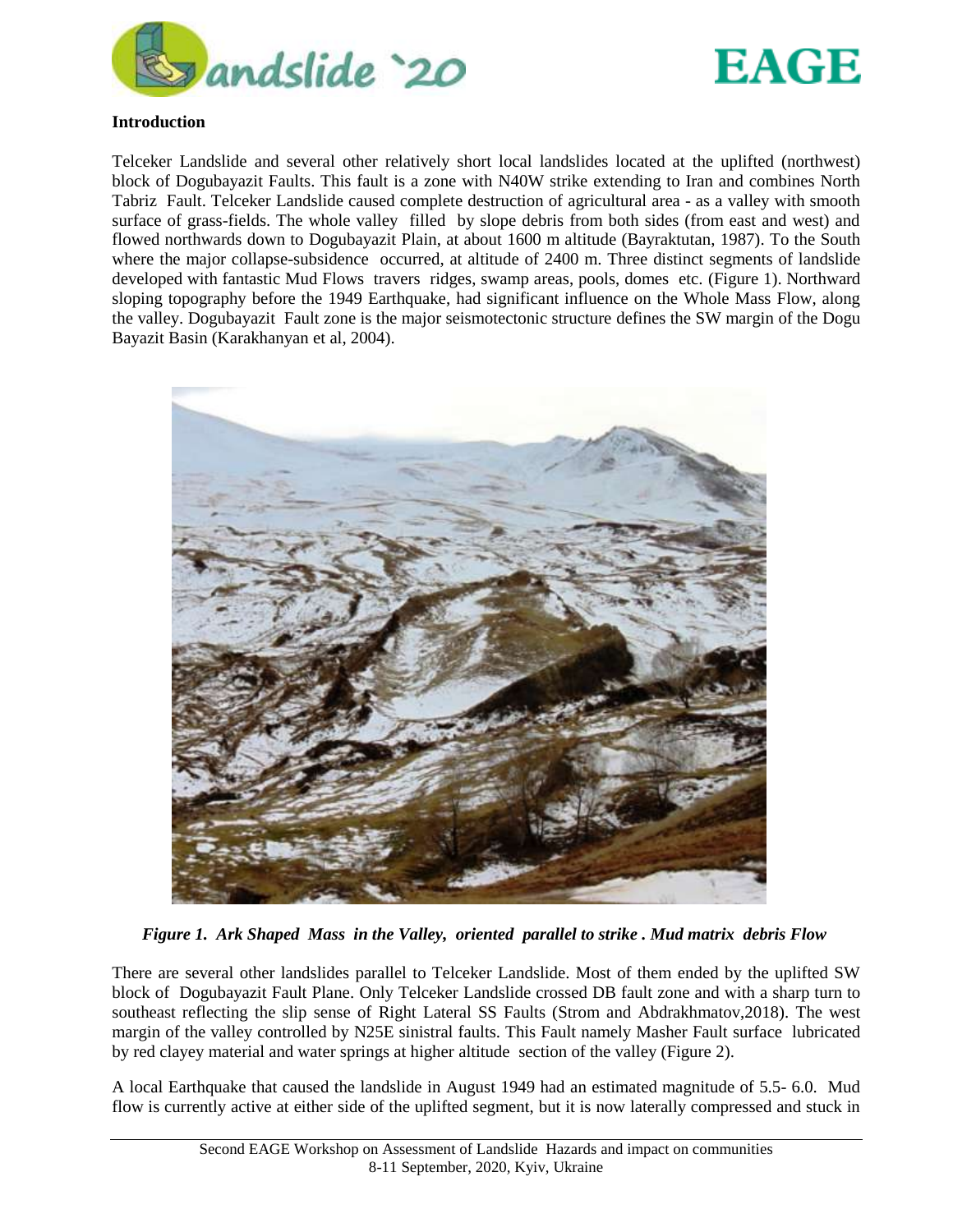



#### **Introduction**

Telceker Landslide and several other relatively short local landslides located at the uplifted (northwest) block of Dogubayazit Faults. This fault is a zone with N40W strike extending to Iran and combines North Tabriz Fault. Telceker Landslide caused complete destruction of agricultural area - as a valley with smooth surface of grass-fields. The whole valley filled by slope debris from both sides (from east and west) and flowed northwards down to Dogubayazit Plain, at about 1600 m altitude (Bayraktutan, 1987). To the South where the major collapse-subsidence occurred, at altitude of 2400 m. Three distinct segments of landslide developed with fantastic Mud Flows travers ridges, swamp areas, pools, domes etc. (Figure 1). Northward sloping topography before the 1949 Earthquake, had significant influence on the Whole Mass Flow, along the valley. Dogubayazit Fault zone is the major seismotectonic structure defines the SW margin of the Dogu Bayazit Basin (Karakhanyan et al, 2004).



 *Figure 1. Ark Shaped Mass in the Valley, oriented parallel to strike . Mud matrix debris Flow* 

There are several other landslides parallel to Telceker Landslide. Most of them ended by the uplifted SW block of Dogubayazit Fault Plane. Only Telceker Landslide crossed DB fault zone and with a sharp turn to southeast reflecting the slip sense of Right Lateral SS Faults (Strom and Abdrakhmatov,2018). The west margin of the valley controlled by N25E sinistral faults. This Fault namely Masher Fault surface lubricated by red clayey material and water springs at higher altitude section of the valley (Figure 2).

A local Earthquake that caused the landslide in August 1949 had an estimated magnitude of 5.5- 6.0. Mud flow is currently active at either side of the uplifted segment, but it is now laterally compressed and stuck in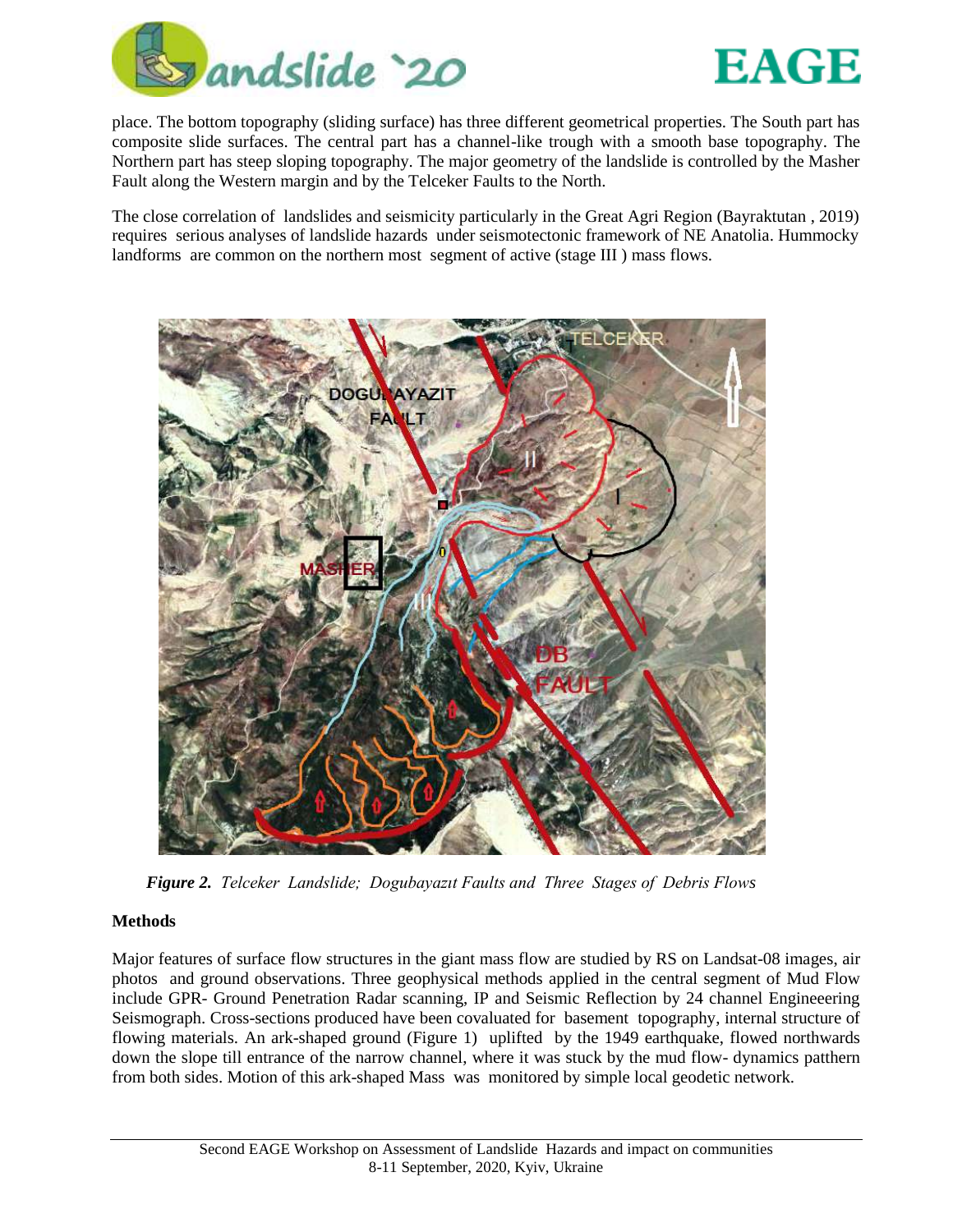



place. The bottom topography (sliding surface) has three different geometrical properties. The South part has composite slide surfaces. The central part has a channel-like trough with a smooth base topography. The Northern part has steep sloping topography. The major geometry of the landslide is controlled by the Masher Fault along the Western margin and by the Telceker Faults to the North.

The close correlation of landslides and seismicity particularly in the Great Agri Region (Bayraktutan , 2019) requires serious analyses of landslide hazards under seismotectonic framework of NE Anatolia. Hummocky landforms are common on the northern most segment of active (stage III ) mass flows.

![](_page_2_Picture_4.jpeg)

 *Figure 2. Telceker Landslide; Dogubayazıt Faults and Three Stages of Debris Flows*

## **Methods**

Major features of surface flow structures in the giant mass flow are studied by RS on Landsat-08 images, air photos and ground observations. Three geophysical methods applied in the central segment of Mud Flow include GPR- Ground Penetration Radar scanning, IP and Seismic Reflection by 24 channel Engineeering Seismograph. Cross-sections produced have been covaluated for basement topography, internal structure of flowing materials. An ark-shaped ground (Figure 1) uplifted by the 1949 earthquake, flowed northwards down the slope till entrance of the narrow channel, where it was stuck by the mud flow- dynamics patthern from both sides. Motion of this ark-shaped Mass was monitored by simple local geodetic network.